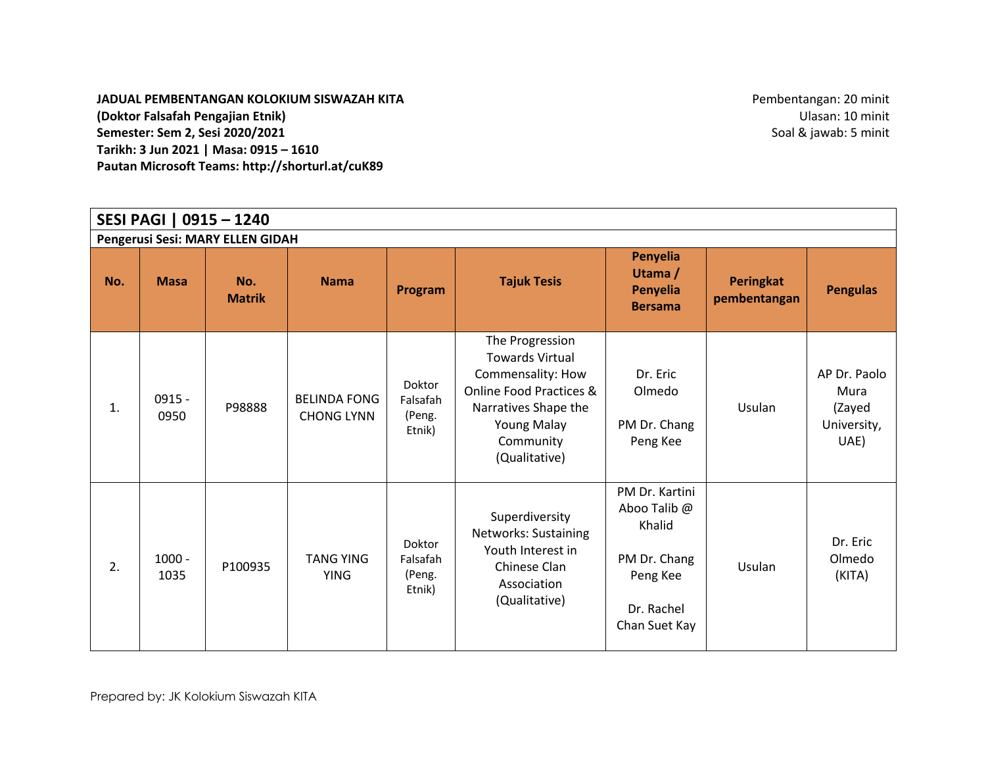**JADUAL PEMBENTANGAN KOLOKIUM SISWAZAH KITA (Doktor Falsafah Pengajian Etnik) Semester: Sem 2, Sesi 2020/2021 Tarikh: 3 Jun 2021 | Masa: 0915 – 1610 Pautan Microsoft Teams: http://shorturl.at/cuK89** 

Pembentangan: 20 minit Ulasan: 10 minit Soal & jawab: 5 minit

| SESI PAGI   0915 - 1240          |                  |                      |                                          |                                        |                                                                                                                                                                                  |                                                                                                     |                           |                                                       |  |  |  |  |
|----------------------------------|------------------|----------------------|------------------------------------------|----------------------------------------|----------------------------------------------------------------------------------------------------------------------------------------------------------------------------------|-----------------------------------------------------------------------------------------------------|---------------------------|-------------------------------------------------------|--|--|--|--|
| Pengerusi Sesi: MARY ELLEN GIDAH |                  |                      |                                          |                                        |                                                                                                                                                                                  |                                                                                                     |                           |                                                       |  |  |  |  |
| No.                              | <b>Masa</b>      | No.<br><b>Matrik</b> | <b>Nama</b>                              | Program                                | <b>Tajuk Tesis</b>                                                                                                                                                               | Penyelia<br>Utama /<br>Penyelia<br><b>Bersama</b>                                                   | Peringkat<br>pembentangan | <b>Pengulas</b>                                       |  |  |  |  |
| 1.                               | $0915 -$<br>0950 | P98888               | <b>BELINDA FONG</b><br><b>CHONG LYNN</b> | Doktor<br>Falsafah<br>(Peng.<br>Etnik) | The Progression<br><b>Towards Virtual</b><br>Commensality: How<br><b>Online Food Practices &amp;</b><br>Narratives Shape the<br><b>Young Malay</b><br>Community<br>(Qualitative) | Dr. Eric<br>Olmedo<br>PM Dr. Chang<br>Peng Kee                                                      | Usulan                    | AP Dr. Paolo<br>Mura<br>(Zayed<br>University,<br>UAE) |  |  |  |  |
| 2.                               | $1000 -$<br>1035 | P100935              | <b>TANG YING</b><br><b>YING</b>          | Doktor<br>Falsafah<br>(Peng.<br>Etnik) | Superdiversity<br><b>Networks: Sustaining</b><br>Youth Interest in<br>Chinese Clan<br>Association<br>(Qualitative)                                                               | PM Dr. Kartini<br>Aboo Talib @<br>Khalid<br>PM Dr. Chang<br>Peng Kee<br>Dr. Rachel<br>Chan Suet Kay | Usulan                    | Dr. Eric<br>Olmedo<br>(KITA)                          |  |  |  |  |